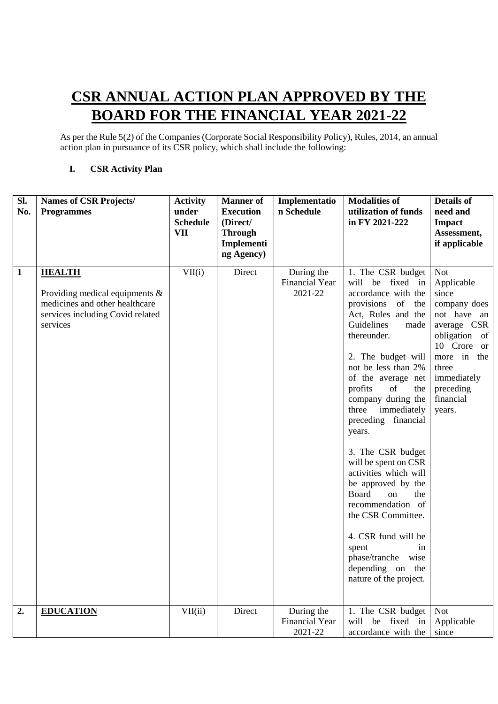## **CSR ANNUAL ACTION PLAN APPROVED BY THE BOARD FOR THE FINANCIAL YEAR 2021-22**

As per the Rule 5(2) of the Companies (Corporate Social Responsibility Policy), Rules, 2014, an annual action plan in pursuance of its CSR policy, which shall include the following:

## **I. CSR Activity Plan**

| Sl.<br>No.   | <b>Names of CSR Projects/</b><br><b>Programmes</b>                                                                                   | <b>Activity</b><br>under<br><b>Schedule</b><br><b>VII</b> | <b>Manner</b> of<br><b>Execution</b><br>(Direct/<br><b>Through</b><br>Implementi<br>ng Agency) | Implementatio<br>n Schedule                    | <b>Modalities of</b><br>utilization of funds<br>in FY 2021-222                                                                                                                                                                                                                                                                                                                                                                                                                                                                                                                                   | <b>Details of</b><br>need and<br><b>Impact</b><br>Assessment,<br>if applicable                                                                                                             |
|--------------|--------------------------------------------------------------------------------------------------------------------------------------|-----------------------------------------------------------|------------------------------------------------------------------------------------------------|------------------------------------------------|--------------------------------------------------------------------------------------------------------------------------------------------------------------------------------------------------------------------------------------------------------------------------------------------------------------------------------------------------------------------------------------------------------------------------------------------------------------------------------------------------------------------------------------------------------------------------------------------------|--------------------------------------------------------------------------------------------------------------------------------------------------------------------------------------------|
| $\mathbf{1}$ | <b>HEALTH</b><br>Providing medical equipments $\&$<br>medicines and other healthcare<br>services including Covid related<br>services | VII(i)                                                    | Direct                                                                                         | During the<br><b>Financial Year</b><br>2021-22 | 1. The CSR budget<br>will be fixed in<br>accordance with the<br>provisions of<br>the<br>Act, Rules and the<br>Guidelines<br>made<br>thereunder.<br>2. The budget will<br>not be less than 2%<br>of the average net<br>profits<br>of<br>the<br>company during the<br>three<br>immediately<br>preceding financial<br>years.<br>3. The CSR budget<br>will be spent on CSR<br>activities which will<br>be approved by the<br>Board<br>the<br>on<br>recommendation of<br>the CSR Committee.<br>4. CSR fund will be<br>spent<br>in<br>phase/tranche wise<br>depending on the<br>nature of the project. | <b>Not</b><br>Applicable<br>since<br>company does<br>not have an<br>average CSR<br>obligation of<br>10 Crore or<br>more in the<br>three<br>immediately<br>preceding<br>financial<br>years. |
| 2.           | <b>EDUCATION</b>                                                                                                                     | VII(i)                                                    | Direct                                                                                         | During the<br><b>Financial Year</b><br>2021-22 | 1. The CSR budget<br>will be fixed in<br>accordance with the                                                                                                                                                                                                                                                                                                                                                                                                                                                                                                                                     | <b>Not</b><br>Applicable<br>since                                                                                                                                                          |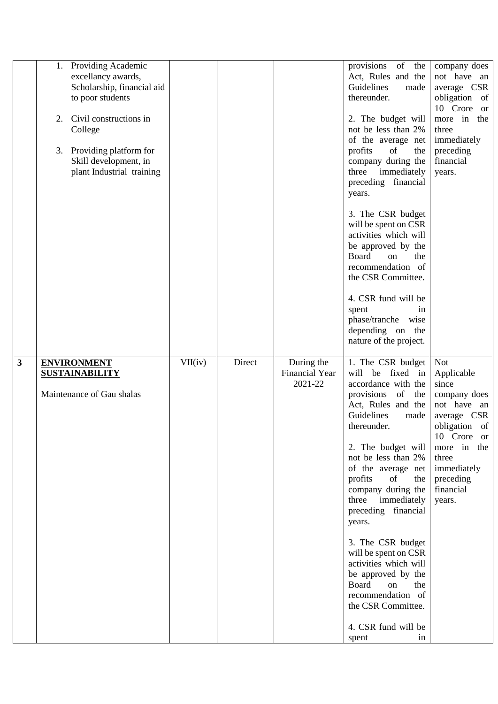|   | 1. Providing Academic<br>excellancy awards,<br>Scholarship, financial aid<br>to poor students<br>Civil constructions in<br>2.<br>College<br>Providing platform for<br>3.<br>Skill development, in<br>plant Industrial training |         |        |                                                | provisions of the<br>Act, Rules and the<br>Guidelines<br>made<br>thereunder.<br>2. The budget will<br>not be less than 2%<br>of the average net<br>profits<br>of<br>the<br>company during the<br>three immediately<br>preceding financial<br>years.<br>3. The CSR budget<br>will be spent on CSR<br>activities which will<br>be approved by the<br>Board<br>on<br>the<br>recommendation of<br>the CSR Committee.<br>4. CSR fund will be<br>spent<br>1n                                                                          | company does<br>not have an<br>average CSR<br>obligation of<br>10 Crore or<br>more in the<br>three<br>immediately<br>preceding<br>financial<br>years.                               |
|---|--------------------------------------------------------------------------------------------------------------------------------------------------------------------------------------------------------------------------------|---------|--------|------------------------------------------------|---------------------------------------------------------------------------------------------------------------------------------------------------------------------------------------------------------------------------------------------------------------------------------------------------------------------------------------------------------------------------------------------------------------------------------------------------------------------------------------------------------------------------------|-------------------------------------------------------------------------------------------------------------------------------------------------------------------------------------|
|   |                                                                                                                                                                                                                                |         |        |                                                | phase/tranche wise<br>depending on the<br>nature of the project.                                                                                                                                                                                                                                                                                                                                                                                                                                                                |                                                                                                                                                                                     |
| 3 | <b>ENVIRONMENT</b><br><b>SUSTAINABILITY</b><br>Maintenance of Gau shalas                                                                                                                                                       | VII(iv) | Direct | During the<br><b>Financial Year</b><br>2021-22 | 1. The CSR budget<br>will be fixed in<br>accordance with the<br>provisions<br>of<br>the<br>Act, Rules and the<br>Guidelines<br>made<br>thereunder.<br>2. The budget will<br>not be less than 2%<br>of the average net<br>profits<br>of<br>the<br>company during the<br>three<br>immediately<br>preceding financial<br>years.<br>3. The CSR budget<br>will be spent on CSR<br>activities which will<br>be approved by the<br>Board<br>on<br>the<br>recommendation of<br>the CSR Committee.<br>4. CSR fund will be<br>spent<br>1n | Not<br>Applicable<br>since<br>company does<br>not have an<br>average CSR<br>obligation of<br>10 Crore or<br>more in the<br>three<br>immediately<br>preceding<br>financial<br>years. |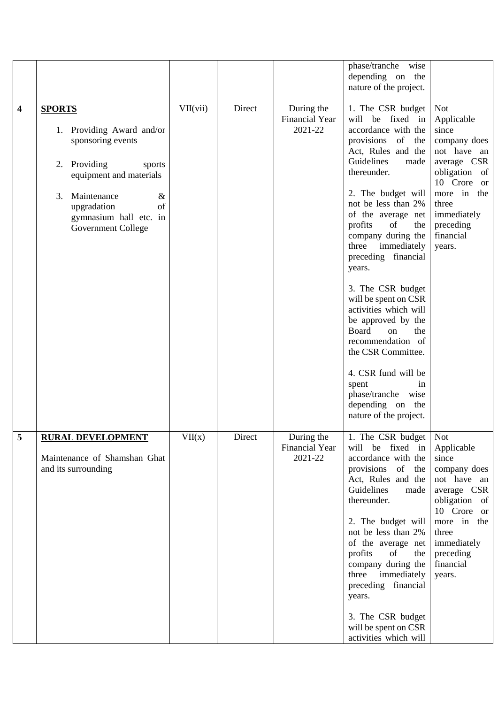|   |                                                                                                                                                                                                                                  |          |        |                                                | phase/tranche<br>wise<br>depending on the<br>nature of the project.                                                                                                                                                                                                                                                                                                                                                                                                                                                                                                                                                     |                                                                                                                                                                                            |
|---|----------------------------------------------------------------------------------------------------------------------------------------------------------------------------------------------------------------------------------|----------|--------|------------------------------------------------|-------------------------------------------------------------------------------------------------------------------------------------------------------------------------------------------------------------------------------------------------------------------------------------------------------------------------------------------------------------------------------------------------------------------------------------------------------------------------------------------------------------------------------------------------------------------------------------------------------------------------|--------------------------------------------------------------------------------------------------------------------------------------------------------------------------------------------|
| 4 | <b>SPORTS</b><br>1. Providing Award and/or<br>sponsoring events<br>Providing<br>2.<br>sports<br>equipment and materials<br>3.<br>Maintenance<br>$\&$<br>upgradation<br>of<br>gymnasium hall etc. in<br><b>Government College</b> | VII(vii) | Direct | During the<br><b>Financial Year</b><br>2021-22 | 1. The CSR budget<br>will be fixed in<br>accordance with the<br>$\sigma$<br>provisions<br>the<br>Act, Rules and the<br>Guidelines<br>made<br>thereunder.<br>2. The budget will<br>not be less than 2%<br>of the average net<br>profits<br>of<br>the<br>company during the<br>immediately<br>three<br>preceding financial<br>years.<br>3. The CSR budget<br>will be spent on CSR<br>activities which will<br>be approved by the<br>Board<br>the<br><sub>on</sub><br>recommendation of<br>the CSR Committee.<br>4. CSR fund will be<br>spent<br>1n<br>phase/tranche<br>wise<br>depending on the<br>nature of the project. | <b>Not</b><br>Applicable<br>since<br>company does<br>not have an<br>average CSR<br>obligation of<br>10 Crore or<br>more in the<br>three<br>immediately<br>preceding<br>financial<br>years. |
| 5 | <b>RURAL DEVELOPMENT</b><br>Maintenance of Shamshan Ghat<br>and its surrounding                                                                                                                                                  | VII(x)   | Direct | During the<br><b>Financial Year</b><br>2021-22 | 1. The CSR budget<br>will be fixed in<br>accordance with the<br>provisions of the<br>Act, Rules and the<br>Guidelines<br>made<br>thereunder.<br>2. The budget will<br>not be less than 2%<br>of the average net<br>profits<br>of<br>the<br>company during the<br>three immediately<br>preceding financial<br>years.<br>3. The CSR budget<br>will be spent on CSR<br>activities which will                                                                                                                                                                                                                               | <b>Not</b><br>Applicable<br>since<br>company does<br>not have an<br>average CSR<br>obligation of<br>10 Crore or<br>more in the<br>three<br>immediately<br>preceding<br>financial<br>years. |